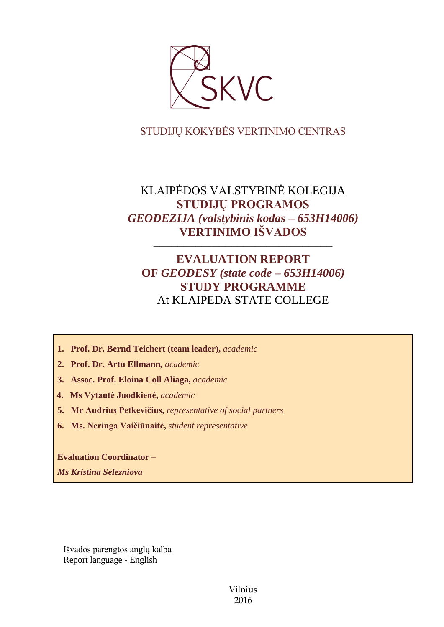

## STUDIJŲ KOKYBĖS VERTINIMO CENTRAS

# KLAIPĖDOS VALSTYBINĖ KOLEGIJA **STUDIJŲ PROGRAMOS**  *GEODEZIJA (valstybinis kodas – 653H14006)* **VERTINIMO IŠVADOS**

––––––––––––––––––––––––––––––

# **EVALUATION REPORT OF** *GEODESY (state code – 653H14006)* **STUDY PROGRAMME** At KLAIPEDA STATE COLLEGE

- **1. Prof. Dr. Bernd Teichert (team leader),** *academic*
- **2. Prof. Dr. Artu Ellmann***, academic*
- **3. Assoc. Prof. Eloina Coll Aliaga,** *academic*
- **4. Ms Vytautė Juodkienė,** *academic*
- **5. Mr Audrius Petkevičius,** *representative of social partners*
- **6. Ms. Neringa Vaičiūnaitė,** *student representative*

**Evaluation Coordinator –** *Ms Kristina Selezniova*

Išvados parengtos anglų kalba Report language - English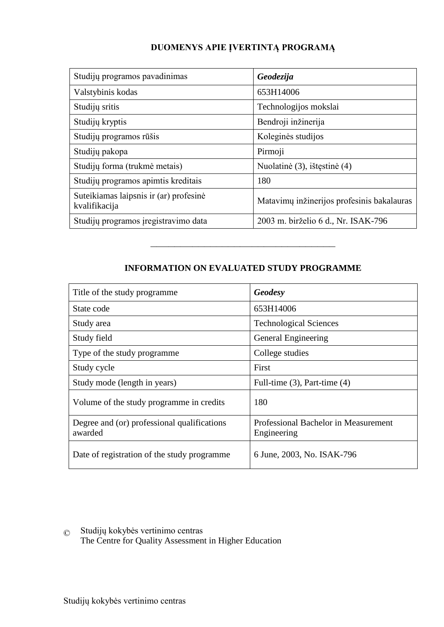## **DUOMENYS APIE ĮVERTINTĄ PROGRAMĄ**

| Studijų programos pavadinimas                           | Geodezija                                  |
|---------------------------------------------------------|--------------------------------------------|
| Valstybinis kodas                                       | 653H14006                                  |
| Studijų sritis                                          | Technologijos mokslai                      |
| Studijų kryptis                                         | Bendroji inžinerija                        |
| Studijų programos rūšis                                 | Koleginės studijos                         |
| Studiju pakopa                                          | Pirmoji                                    |
| Studijų forma (trukmė metais)                           | Nuolatinė (3), ištęstinė (4)               |
| Studijų programos apimtis kreditais                     | 180                                        |
| Suteikiamas laipsnis ir (ar) profesinė<br>kvalifikacija | Matavimų inžinerijos profesinis bakalauras |
| Studijų programos įregistravimo data                    | 2003 m. birželio 6 d., Nr. ISAK-796        |

## **INFORMATION ON EVALUATED STUDY PROGRAMME**

–––––––––––––––––––––––––––––––

| Title of the study programme.                          | Geodesy                                             |
|--------------------------------------------------------|-----------------------------------------------------|
| State code                                             | 653H14006                                           |
| Study area                                             | <b>Technological Sciences</b>                       |
| Study field                                            | General Engineering                                 |
| Type of the study programme                            | College studies                                     |
| Study cycle                                            | First                                               |
| Study mode (length in years)                           | Full-time $(3)$ , Part-time $(4)$                   |
| Volume of the study programme in credits               | 180                                                 |
| Degree and (or) professional qualifications<br>awarded | Professional Bachelor in Measurement<br>Engineering |
| Date of registration of the study programme            | 6 June, 2003, No. ISAK-796                          |

© Studijų kokybės vertinimo centras The Centre for Quality Assessment in Higher Education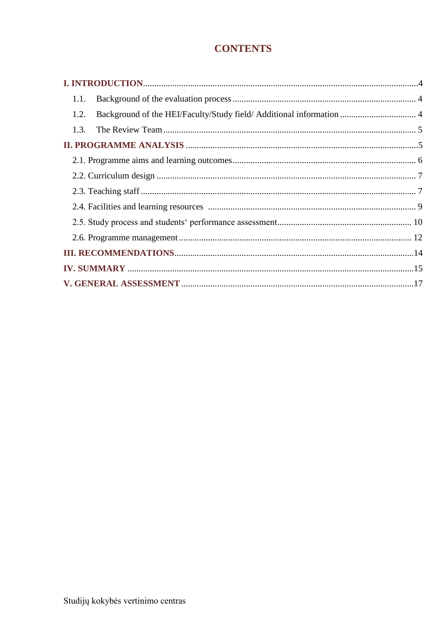# **CONTENTS**

| 1.1.                                                                         |  |
|------------------------------------------------------------------------------|--|
| Background of the HEI/Faculty/Study field/ Additional information  4<br>1.2. |  |
| 1.3.                                                                         |  |
|                                                                              |  |
|                                                                              |  |
|                                                                              |  |
|                                                                              |  |
|                                                                              |  |
|                                                                              |  |
|                                                                              |  |
|                                                                              |  |
|                                                                              |  |
|                                                                              |  |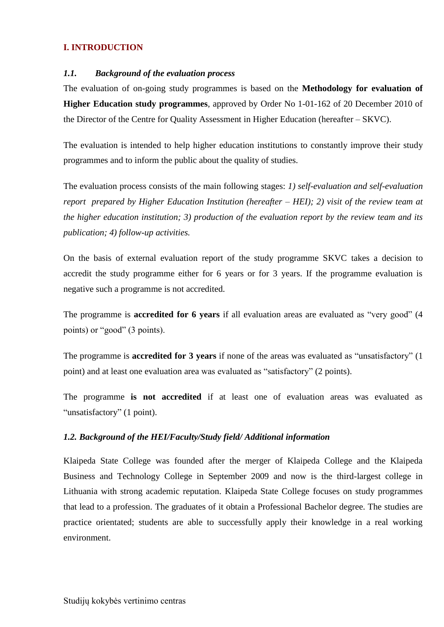## <span id="page-3-0"></span>**I. INTRODUCTION**

### <span id="page-3-1"></span>*1.1. Background of the evaluation process*

The evaluation of on-going study programmes is based on the **Methodology for evaluation of Higher Education study programmes**, approved by Order No 1-01-162 of 20 December 2010 of the Director of the Centre for Quality Assessment in Higher Education (hereafter – SKVC).

The evaluation is intended to help higher education institutions to constantly improve their study programmes and to inform the public about the quality of studies.

The evaluation process consists of the main following stages: *1) self-evaluation and self-evaluation report prepared by Higher Education Institution (hereafter – HEI); 2) visit of the review team at the higher education institution; 3) production of the evaluation report by the review team and its publication; 4) follow-up activities.* 

On the basis of external evaluation report of the study programme SKVC takes a decision to accredit the study programme either for 6 years or for 3 years. If the programme evaluation is negative such a programme is not accredited.

The programme is **accredited for 6 years** if all evaluation areas are evaluated as "very good" (4 points) or "good" (3 points).

The programme is **accredited for 3 years** if none of the areas was evaluated as "unsatisfactory" (1 point) and at least one evaluation area was evaluated as "satisfactory" (2 points).

The programme **is not accredited** if at least one of evaluation areas was evaluated as "unsatisfactory" (1 point).

## <span id="page-3-2"></span>*1.2. Background of the HEI/Faculty/Study field/ Additional information*

Klaipeda State College was founded after the merger of Klaipeda College and the Klaipeda Business and Technology College in September 2009 and now is the third-largest college in Lithuania with strong academic reputation. Klaipeda State College focuses on study programmes that lead to a profession. The graduates of it obtain a Professional Bachelor degree. The studies are practice orientated; students are able to successfully apply their knowledge in a real working environment.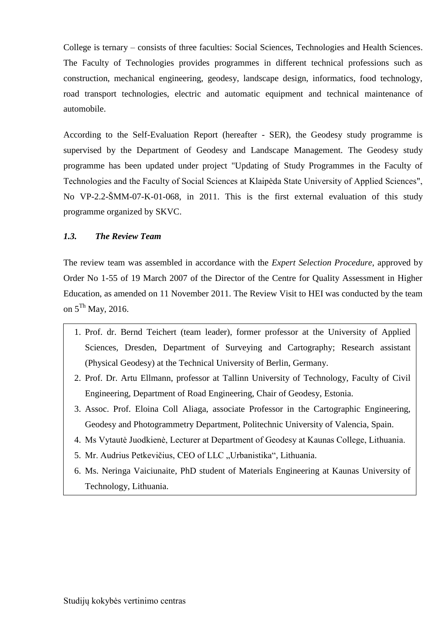College is ternary – consists of three faculties: Social Sciences, Technologies and Health Sciences. The Faculty of Technologies provides programmes in different technical professions such as construction, mechanical engineering, geodesy, landscape design, informatics, food technology, road transport technologies, electric and automatic equipment and technical maintenance of automobile.

According to the Self-Evaluation Report (hereafter - SER), the Geodesy study programme is supervised by the Department of Geodesy and Landscape Management. The Geodesy study programme has been updated under project "Updating of Study Programmes in the Faculty of Technologies and the Faculty of Social Sciences at Klaipėda State University of Applied Sciences", No VP-2.2-ŠMM-07-K-01-068, in 2011. This is the first external evaluation of this study programme organized by SKVC.

## <span id="page-4-0"></span>*1.3. The Review Team*

The review team was assembled in accordance with the *Expert Selection Procedure*, approved by Order No 1-55 of 19 March 2007 of the Director of the Centre for Quality Assessment in Higher Education, as amended on 11 November 2011. The Review Visit to HEI was conducted by the team on 5<sup>Th</sup> May, 2016.

- <span id="page-4-1"></span>1. Prof. dr. Bernd Teichert (team leader), former professor at the University of Applied Sciences, Dresden, Department of Surveying and Cartography; Research assistant (Physical Geodesy) at the Technical University of Berlin, Germany.
- 2. Prof. Dr. Artu Ellmann, professor at Tallinn University of Technology, Faculty of Civil Engineering, Department of Road Engineering, Chair of Geodesy, Estonia.
- 3. Assoc. Prof. Eloina Coll Aliaga, associate Professor in the Cartographic Engineering, Geodesy and Photogrammetry Department, Politechnic University of Valencia, Spain.
- 4. Ms Vytautė Juodkienė, Lecturer at Department of Geodesy at Kaunas College, Lithuania.
- 5. Mr. Audrius Petkevičius, CEO of LLC "Urbanistika", Lithuania.
- 6. Ms. Neringa Vaiciunaite, PhD student of Materials Engineering at Kaunas University of Technology, Lithuania.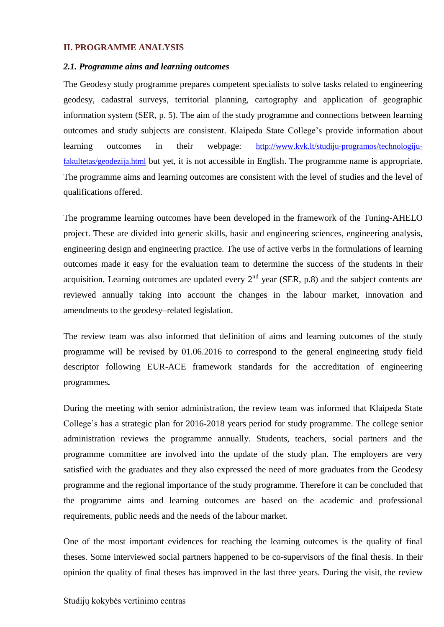#### <span id="page-5-0"></span>**II. PROGRAMME ANALYSIS**

#### *2.1. Programme aims and learning outcomes*

The Geodesy study programme prepares competent specialists to solve tasks related to engineering geodesy, cadastral surveys, territorial planning, cartography and application of geographic information system (SER, p. 5). The aim of the study programme and connections between learning outcomes and study subjects are consistent. Klaipeda State College's provide information about learning outcomes in their webpage: [http://www.kvk.lt/studiju-programos/technologiju](http://www.kvk.lt/studiju-programos/technologiju-fakultetas/geodezija.html)[fakultetas/geodezija.html](http://www.kvk.lt/studiju-programos/technologiju-fakultetas/geodezija.html) but yet, it is not accessible in English. The programme name is appropriate. The programme aims and learning outcomes are consistent with the level of studies and the level of qualifications offered.

The programme learning outcomes have been developed in the framework of the Tuning-AHELO project. These are divided into generic skills, basic and engineering sciences, engineering analysis, engineering design and engineering practice. The use of active verbs in the formulations of learning outcomes made it easy for the evaluation team to determine the success of the students in their acquisition. Learning outcomes are updated every  $2<sup>nd</sup>$  year (SER, p.8) and the subject contents are reviewed annually taking into account the changes in the labour market, innovation and amendments to the geodesy–related legislation.

The review team was also informed that definition of aims and learning outcomes of the study programme will be revised by 01.06.2016 to correspond to the general engineering study field descriptor following EUR-ACE framework standards for the accreditation of engineering programmes*.* 

During the meeting with senior administration, the review team was informed that Klaipeda State College's has a strategic plan for 2016-2018 years period for study programme. The college senior administration reviews the programme annually. Students, teachers, social partners and the programme committee are involved into the update of the study plan. The employers are very satisfied with the graduates and they also expressed the need of more graduates from the Geodesy programme and the regional importance of the study programme. Therefore it can be concluded that the programme aims and learning outcomes are based on the academic and professional requirements, public needs and the needs of the labour market.

One of the most important evidences for reaching the learning outcomes is the quality of final theses. Some interviewed social partners happened to be co-supervisors of the final thesis. In their opinion the quality of final theses has improved in the last three years. During the visit, the review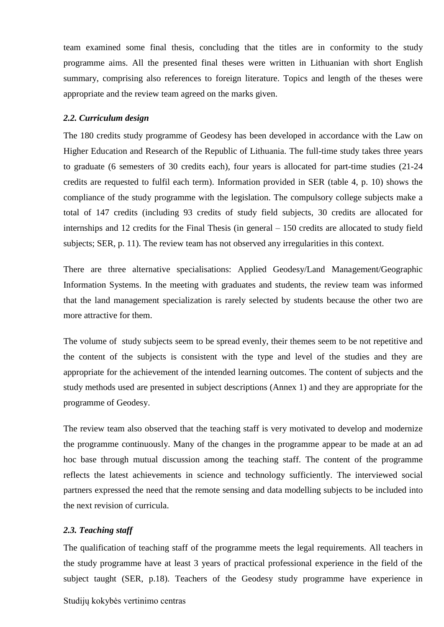team examined some final thesis, concluding that the titles are in conformity to the study programme aims. All the presented final theses were written in Lithuanian with short English summary, comprising also references to foreign literature. Topics and length of the theses were appropriate and the review team agreed on the marks given.

#### <span id="page-6-0"></span>*2.2. Curriculum design*

The 180 credits study programme of Geodesy has been developed in accordance with the Law on Higher Education and Research of the Republic of Lithuania. The full-time study takes three years to graduate (6 semesters of 30 credits each), four years is allocated for part-time studies (21-24 credits are requested to fulfil each term). Information provided in SER (table 4, p. 10) shows the compliance of the study programme with the legislation. The compulsory college subjects make a total of 147 credits (including 93 credits of study field subjects, 30 credits are allocated for internships and 12 credits for the Final Thesis (in general – 150 credits are allocated to study field subjects; SER, p. 11). The review team has not observed any irregularities in this context.

There are three alternative specialisations: Applied Geodesy/Land Management/Geographic Information Systems. In the meeting with graduates and students, the review team was informed that the land management specialization is rarely selected by students because the other two are more attractive for them.

The volume of study subjects seem to be spread evenly, their themes seem to be not repetitive and the content of the subjects is consistent with the type and level of the studies and they are appropriate for the achievement of the intended learning outcomes. The content of subjects and the study methods used are presented in subject descriptions (Annex 1) and they are appropriate for the programme of Geodesy.

The review team also observed that the teaching staff is very motivated to develop and modernize the programme continuously. Many of the changes in the programme appear to be made at an ad hoc base through mutual discussion among the teaching staff. The content of the programme reflects the latest achievements in science and technology sufficiently. The interviewed social partners expressed the need that the remote sensing and data modelling subjects to be included into the next revision of curricula.

#### <span id="page-6-1"></span>*2.3. Teaching staff*

The qualification of teaching staff of the programme meets the legal requirements. All teachers in the study programme have at least 3 years of practical professional experience in the field of the subject taught (SER, p.18). Teachers of the Geodesy study programme have experience in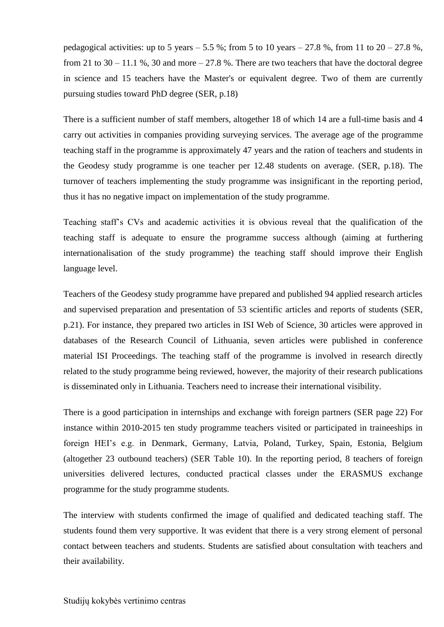pedagogical activities: up to 5 years  $-5.5$  %; from 5 to 10 years  $-27.8$  %, from 11 to  $20 - 27.8$  %, from 21 to 30 – 11.1 %, 30 and more – 27.8 %. There are two teachers that have the doctoral degree in science and 15 teachers have the Master's or equivalent degree. Two of them are currently pursuing studies toward PhD degree (SER, p.18)

There is a sufficient number of staff members, altogether 18 of which 14 are a full-time basis and 4 carry out activities in companies providing surveying services. The average age of the programme teaching staff in the programme is approximately 47 years and the ration of teachers and students in the Geodesy study programme is one teacher per 12.48 students on average. (SER, p.18). The turnover of teachers implementing the study programme was insignificant in the reporting period, thus it has no negative impact on implementation of the study programme.

Teaching staff's CVs and academic activities it is obvious reveal that the qualification of the teaching staff is adequate to ensure the programme success although (aiming at furthering internationalisation of the study programme) the teaching staff should improve their English language level.

Teachers of the Geodesy study programme have prepared and published 94 applied research articles and supervised preparation and presentation of 53 scientific articles and reports of students (SER, p.21). For instance, they prepared two articles in ISI Web of Science, 30 articles were approved in databases of the Research Council of Lithuania, seven articles were published in conference material ISI Proceedings. The teaching staff of the programme is involved in research directly related to the study programme being reviewed, however, the majority of their research publications is disseminated only in Lithuania. Teachers need to increase their international visibility.

There is a good participation in internships and exchange with foreign partners (SER page 22) For instance within 2010-2015 ten study programme teachers visited or participated in traineeships in foreign HEI's e.g. in Denmark, Germany, Latvia, Poland, Turkey, Spain, Estonia, Belgium (altogether 23 outbound teachers) (SER Table 10). In the reporting period, 8 teachers of foreign universities delivered lectures, conducted practical classes under the ERASMUS exchange programme for the study programme students.

The interview with students confirmed the image of qualified and dedicated teaching staff. The students found them very supportive. It was evident that there is a very strong element of personal contact between teachers and students. Students are satisfied about consultation with teachers and their availability.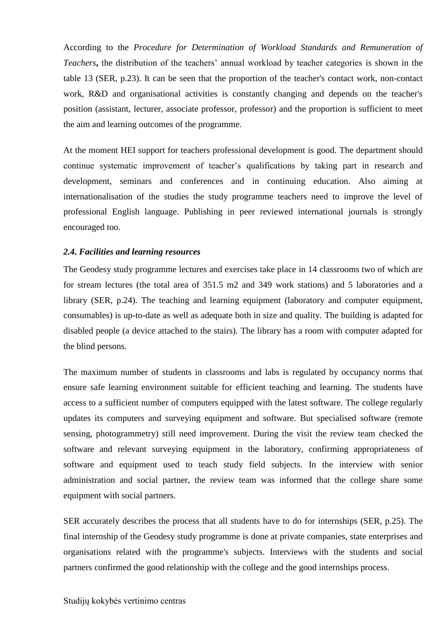According to the *Procedure for Determination of Workload Standards and Remuneration of Teachers***,** the distribution of the teachers' annual workload by teacher categories is shown in the table 13 (SER, p.23). It can be seen that the proportion of the teacher's contact work, non-contact work, R&D and organisational activities is constantly changing and depends on the teacher's position (assistant, lecturer, associate professor, professor) and the proportion is sufficient to meet the aim and learning outcomes of the programme.

At the moment HEI support for teachers professional development is good. The department should continue systematic improvement of teacher's qualifications by taking part in research and development, seminars and conferences and in continuing education. Also aiming at internationalisation of the studies the study programme teachers need to improve the level of professional English language. Publishing in peer reviewed international journals is strongly encouraged too.

#### <span id="page-8-0"></span>*2.4. Facilities and learning resources*

The Geodesy study programme lectures and exercises take place in 14 classrooms two of which are for stream lectures (the total area of 351.5 m2 and 349 work stations) and 5 laboratories and a library (SER, p.24). The teaching and learning equipment (laboratory and computer equipment, consumables) is up-to-date as well as adequate both in size and quality. The building is adapted for disabled people (a device attached to the stairs). The library has a room with computer adapted for the blind persons.

The maximum number of students in classrooms and labs is regulated by occupancy norms that ensure safe learning environment suitable for efficient teaching and learning. The students have access to a sufficient number of computers equipped with the latest software. The college regularly updates its computers and surveying equipment and software. But specialised software (remote sensing, photogrammetry) still need improvement. During the visit the review team checked the software and relevant surveying equipment in the laboratory, confirming appropriateness of software and equipment used to teach study field subjects. In the interview with senior administration and social partner, the review team was informed that the college share some equipment with social partners.

SER accurately describes the process that all students have to do for internships (SER, p.25). The final internship of the Geodesy study programme is done at private companies, state enterprises and organisations related with the programme's subjects. Interviews with the students and social partners confirmed the good relationship with the college and the good internships process.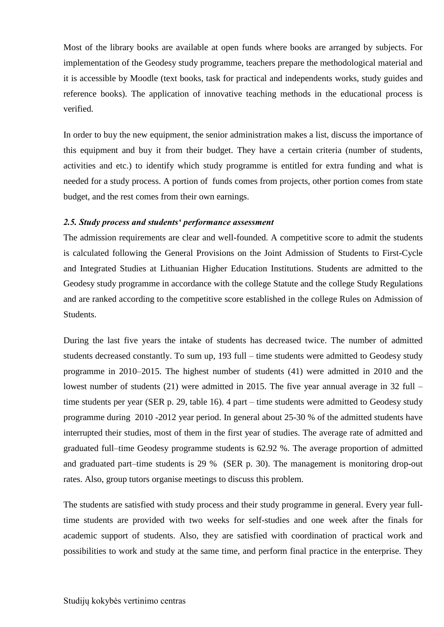Most of the library books are available at open funds where books are arranged by subjects. For implementation of the Geodesy study programme, teachers prepare the methodological material and it is accessible by Moodle (text books, task for practical and independents works, study guides and reference books). The application of innovative teaching methods in the educational process is verified.

In order to buy the new equipment, the senior administration makes a list, discuss the importance of this equipment and buy it from their budget. They have a certain criteria (number of students, activities and etc.) to identify which study programme is entitled for extra funding and what is needed for a study process. A portion of funds comes from projects, other portion comes from state budget, and the rest comes from their own earnings.

#### <span id="page-9-0"></span>*2.5. Study process and students' performance assessment*

The admission requirements are clear and well-founded. A competitive score to admit the students is calculated following the General Provisions on the Joint Admission of Students to First-Cycle and Integrated Studies at Lithuanian Higher Education Institutions. Students are admitted to the Geodesy study programme in accordance with the college Statute and the college Study Regulations and are ranked according to the competitive score established in the college Rules on Admission of Students.

During the last five years the intake of students has decreased twice. The number of admitted students decreased constantly. To sum up, 193 full – time students were admitted to Geodesy study programme in 2010–2015. The highest number of students (41) were admitted in 2010 and the lowest number of students (21) were admitted in 2015. The five year annual average in 32 full – time students per year (SER p. 29, table 16). 4 part – time students were admitted to Geodesy study programme during 2010 -2012 year period. In general about 25-30 % of the admitted students have interrupted their studies, most of them in the first year of studies. The average rate of admitted and graduated full–time Geodesy programme students is 62.92 %. The average proportion of admitted and graduated part–time students is 29 % (SER p. 30). The management is monitoring drop-out rates. Also, group tutors organise meetings to discuss this problem.

The students are satisfied with study process and their study programme in general. Every year fulltime students are provided with two weeks for self-studies and one week after the finals for academic support of students. Also, they are satisfied with coordination of practical work and possibilities to work and study at the same time, and perform final practice in the enterprise. They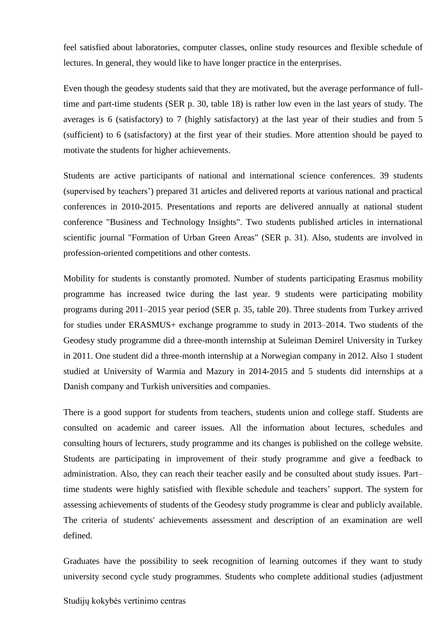feel satisfied about laboratories, computer classes, online study resources and flexible schedule of lectures. In general, they would like to have longer practice in the enterprises.

Even though the geodesy students said that they are motivated, but the average performance of fulltime and part-time students (SER p. 30, table 18) is rather low even in the last years of study. The averages is 6 (satisfactory) to 7 (highly satisfactory) at the last year of their studies and from 5 (sufficient) to 6 (satisfactory) at the first year of their studies. More attention should be payed to motivate the students for higher achievements.

Students are active participants of national and international science conferences. 39 students (supervised by teachers') prepared 31 articles and delivered reports at various national and practical conferences in 2010-2015. Presentations and reports are delivered annually at national student conference "Business and Technology Insights". Two students published articles in international scientific journal "Formation of Urban Green Areas" (SER p. 31). Also, students are involved in profession-oriented competitions and other contests.

Mobility for students is constantly promoted. Number of students participating Erasmus mobility programme has increased twice during the last year. 9 students were participating mobility programs during 2011–2015 year period (SER p. 35, table 20). Three students from Turkey arrived for studies under ERASMUS+ exchange programme to study in 2013–2014. Two students of the Geodesy study programme did a three-month internship at Suleiman Demirel University in Turkey in 2011. One student did a three-month internship at a Norwegian company in 2012. Also 1 student studied at University of Warmia and Mazury in 2014-2015 and 5 students did internships at a Danish company and Turkish universities and companies.

There is a good support for students from teachers, students union and college staff. Students are consulted on academic and career issues. All the information about lectures, schedules and consulting hours of lecturers, study programme and its changes is published on the college website. Students are participating in improvement of their study programme and give a feedback to administration. Also, they can reach their teacher easily and be consulted about study issues. Part– time students were highly satisfied with flexible schedule and teachers' support. The system for assessing achievements of students of the Geodesy study programme is clear and publicly available. The criteria of students' achievements assessment and description of an examination are well defined.

Graduates have the possibility to seek recognition of learning outcomes if they want to study university second cycle study programmes. Students who complete additional studies (adjustment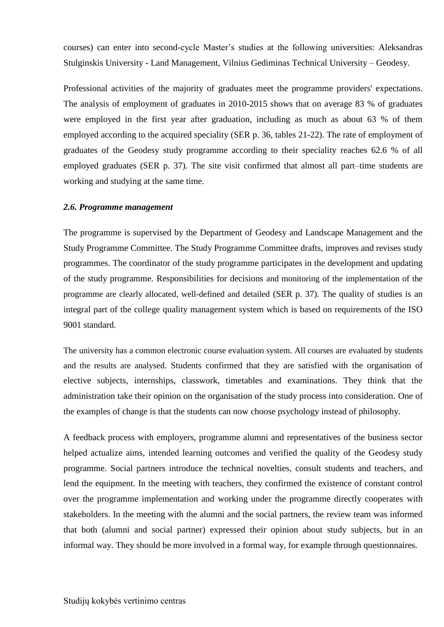courses) can enter into second-cycle Master's studies at the following universities: Aleksandras Stulginskis University - Land Management, Vilnius Gediminas Technical University – Geodesy.

Professional activities of the majority of graduates meet the programme providers' expectations. The analysis of employment of graduates in 2010-2015 shows that on average 83 % of graduates were employed in the first year after graduation, including as much as about 63 % of them employed according to the acquired speciality (SER p. 36, tables 21-22). The rate of employment of graduates of the Geodesy study programme according to their speciality reaches 62.6 % of all employed graduates (SER p. 37). The site visit confirmed that almost all part–time students are working and studying at the same time.

#### <span id="page-11-0"></span>*2.6. Programme management*

The programme is supervised by the Department of Geodesy and Landscape Management and the Study Programme Committee. The Study Programme Committee drafts, improves and revises study programmes. The coordinator of the study programme participates in the development and updating of the study programme. Responsibilities for decisions and monitoring of the implementation of the programme are clearly allocated, well-defined and detailed (SER p. 37). The quality of studies is an integral part of the college quality management system which is based on requirements of the ISO 9001 standard.

The university has a common electronic course evaluation system. All courses are evaluated by students and the results are analysed. Students confirmed that they are satisfied with the organisation of elective subjects, internships, classwork, timetables and examinations. They think that the administration take their opinion on the organisation of the study process into consideration. One of the examples of change is that the students can now choose psychology instead of philosophy.

A feedback process with employers, programme alumni and representatives of the business sector helped actualize aims, intended learning outcomes and verified the quality of the Geodesy study programme. Social partners introduce the technical novelties, consult students and teachers, and lend the equipment. In the meeting with teachers, they confirmed the existence of constant control over the programme implementation and working under the programme directly cooperates with stakeholders. In the meeting with the alumni and the social partners, the review team was informed that both (alumni and social partner) expressed their opinion about study subjects, but in an informal way. They should be more involved in a formal way, for example through questionnaires.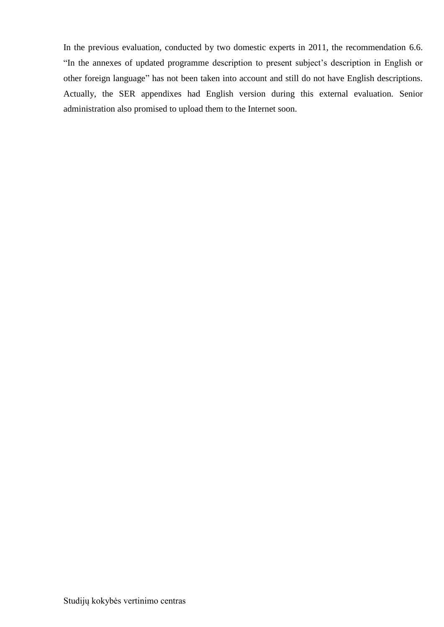In the previous evaluation, conducted by two domestic experts in 2011, the recommendation 6.6. "In the annexes of updated programme description to present subject's description in English or other foreign language" has not been taken into account and still do not have English descriptions. Actually, the SER appendixes had English version during this external evaluation. Senior administration also promised to upload them to the Internet soon.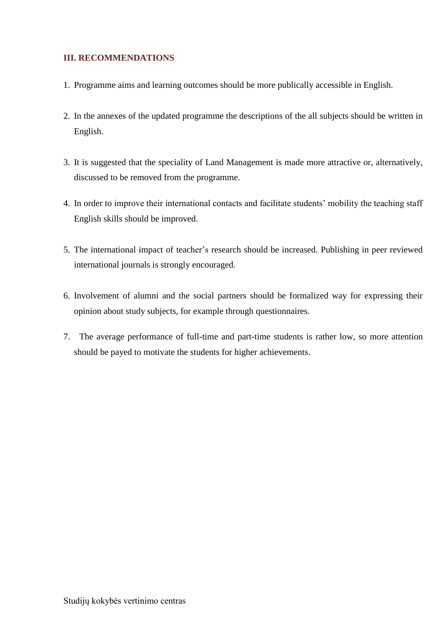## <span id="page-13-0"></span>**III. RECOMMENDATIONS**

- 1. Programme aims and learning outcomes should be more publically accessible in English.
- 2. In the annexes of the updated programme the descriptions of the all subjects should be written in English.
- 3. It is suggested that the speciality of Land Management is made more attractive or, alternatively, discussed to be removed from the programme.
- 4. In order to improve their international contacts and facilitate students' mobility the teaching staff English skills should be improved.
- 5. The international impact of teacher's research should be increased. Publishing in peer reviewed international journals is strongly encouraged.
- 6. Involvement of alumni and the social partners should be formalized way for expressing their opinion about study subjects, for example through questionnaires.
- 7. The average performance of full-time and part-time students is rather low, so more attention should be payed to motivate the students for higher achievements.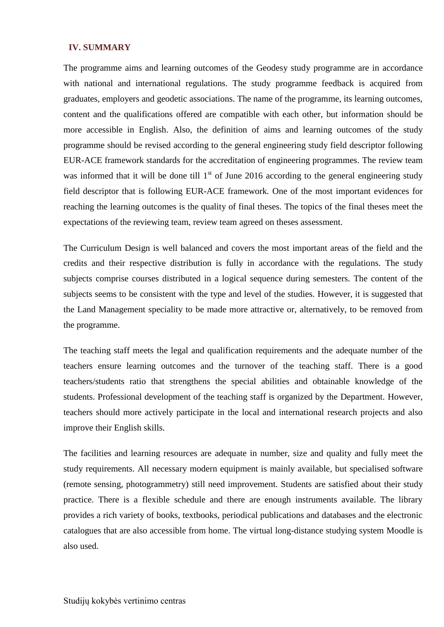#### <span id="page-14-0"></span>**IV. SUMMARY**

The programme aims and learning outcomes of the Geodesy study programme are in accordance with national and international regulations. The study programme feedback is acquired from graduates, employers and geodetic associations. The name of the programme, its learning outcomes, content and the qualifications offered are compatible with each other, but information should be more accessible in English. Also, the definition of aims and learning outcomes of the study programme should be revised according to the general engineering study field descriptor following EUR-ACE framework standards for the accreditation of engineering programmes*.* The review team was informed that it will be done till  $1<sup>st</sup>$  of June 2016 according to the general engineering study field descriptor that is following EUR-ACE framework*.* One of the most important evidences for reaching the learning outcomes is the quality of final theses. The topics of the final theses meet the expectations of the reviewing team, review team agreed on theses assessment.

The Curriculum Design is well balanced and covers the most important areas of the field and the credits and their respective distribution is fully in accordance with the regulations. The study subjects comprise courses distributed in a logical sequence during semesters. The content of the subjects seems to be consistent with the type and level of the studies. However, it is suggested that the Land Management speciality to be made more attractive or, alternatively, to be removed from the programme.

The teaching staff meets the legal and qualification requirements and the adequate number of the teachers ensure learning outcomes and the turnover of the teaching staff. There is a good teachers/students ratio that strengthens the special abilities and obtainable knowledge of the students. Professional development of the teaching staff is organized by the Department. However, teachers should more actively participate in the local and international research projects and also improve their English skills.

The facilities and learning resources are adequate in number, size and quality and fully meet the study requirements. All necessary modern equipment is mainly available, but specialised software (remote sensing, photogrammetry) still need improvement. Students are satisfied about their study practice. There is a flexible schedule and there are enough instruments available. The library provides a rich variety of books, textbooks, periodical publications and databases and the electronic catalogues that are also accessible from home. The virtual long-distance studying system Moodle is also used.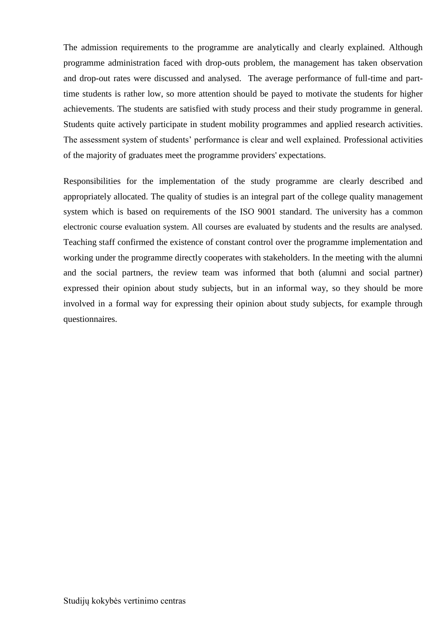The admission requirements to the programme are analytically and clearly explained. Although programme administration faced with drop-outs problem, the management has taken observation and drop-out rates were discussed and analysed. The average performance of full-time and parttime students is rather low, so more attention should be payed to motivate the students for higher achievements. The students are satisfied with study process and their study programme in general. Students quite actively participate in student mobility programmes and applied research activities. The assessment system of students' performance is clear and well explained. Professional activities of the majority of graduates meet the programme providers' expectations.

Responsibilities for the implementation of the study programme are clearly described and appropriately allocated. The quality of studies is an integral part of the college quality management system which is based on requirements of the ISO 9001 standard. The university has a common electronic course evaluation system. All courses are evaluated by students and the results are analysed. Teaching staff confirmed the existence of constant control over the programme implementation and working under the programme directly cooperates with stakeholders. In the meeting with the alumni and the social partners, the review team was informed that both (alumni and social partner) expressed their opinion about study subjects, but in an informal way, so they should be more involved in a formal way for expressing their opinion about study subjects, for example through questionnaires.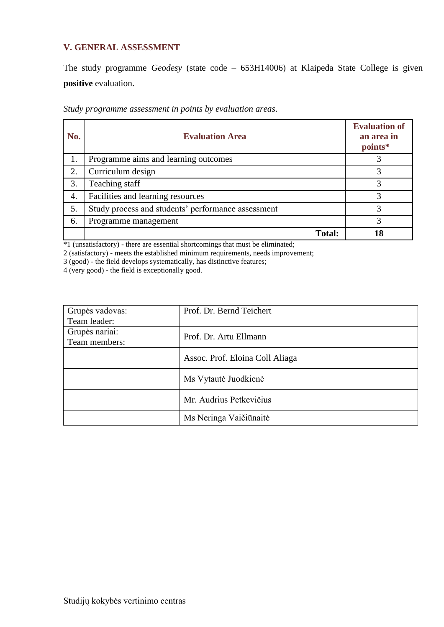## <span id="page-16-0"></span>**V. GENERAL ASSESSMENT**

The study programme *Geodesy* (state code – 653H14006) at Klaipeda State College is given **positive** evaluation.

*Study programme assessment in points by evaluation areas*.

| No. | <b>Evaluation Area</b>                             | <b>Evaluation of</b><br>an area in<br>points* |
|-----|----------------------------------------------------|-----------------------------------------------|
| 1.  | Programme aims and learning outcomes               |                                               |
| 2.  | Curriculum design                                  | 3                                             |
| 3.  | Teaching staff                                     | 3                                             |
| 4.  | Facilities and learning resources                  | 3                                             |
| 5.  | Study process and students' performance assessment | 3                                             |
| 6.  | Programme management                               | 3                                             |
|     | <b>Total:</b>                                      |                                               |

\*1 (unsatisfactory) - there are essential shortcomings that must be eliminated;

2 (satisfactory) - meets the established minimum requirements, needs improvement;

3 (good) - the field develops systematically, has distinctive features;

4 (very good) - the field is exceptionally good.

| Grupės vadovas: | Prof. Dr. Bernd Teichert        |
|-----------------|---------------------------------|
| Team leader:    |                                 |
| Grupės nariai:  | Prof. Dr. Artu Ellmann          |
| Team members:   |                                 |
|                 | Assoc. Prof. Eloina Coll Aliaga |
|                 | Ms Vytautė Juodkienė            |
|                 | Mr. Audrius Petkevičius         |
|                 | Ms Neringa Vaičiūnaitė          |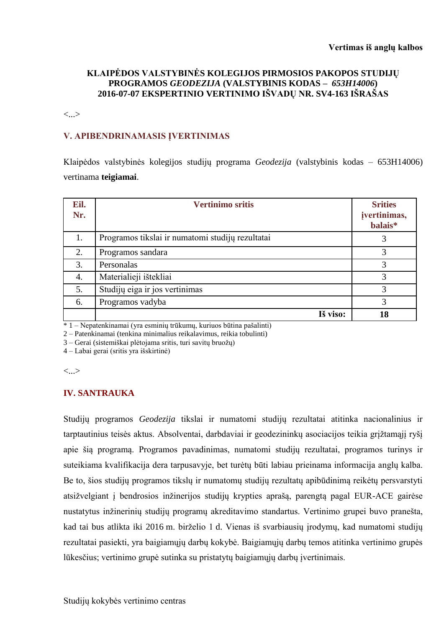## **KLAIPĖDOS VALSTYBINĖS KOLEGIJOS PIRMOSIOS PAKOPOS STUDIJŲ PROGRAMOS** *GEODEZIJA* **(VALSTYBINIS KODAS –** *653H14006***) 2016-07-07 EKSPERTINIO VERTINIMO IŠVADŲ NR. SV4-163 IŠRAŠAS**

<...>

### **V. APIBENDRINAMASIS ĮVERTINIMAS**

Klaipėdos valstybinės kolegijos studijų programa *Geodezija* (valstybinis kodas – 653H14006) vertinama **teigiamai**.

| Eil.<br>Nr. | <b>Vertinimo sritis</b>                          | <b>Srities</b><br>jvertinimas,<br>balais* |
|-------------|--------------------------------------------------|-------------------------------------------|
| 1.          | Programos tikslai ir numatomi studijų rezultatai | 3                                         |
| 2.          | Programos sandara                                | 3                                         |
| 3.          | Personalas                                       | 3                                         |
| 4.          | Materialieji ištekliai                           | 3                                         |
| 5.          | Studijų eiga ir jos vertinimas                   | 3                                         |
| 6.          | Programos vadyba                                 | 3                                         |
|             | Iš viso:                                         | 18                                        |

 $* 1 - Nepatenkinamai$  (yra esminių trūkumų, kuriuos būtina pašalinti)

2 – Patenkinamai (tenkina minimalius reikalavimus, reikia tobulinti)

3 – Gerai (sistemiškai plėtojama sritis, turi savitų bruožų)

4 – Labai gerai (sritis yra išskirtinė)

<...>

## **IV. SANTRAUKA**

Studijų programos *Geodezija* tikslai ir numatomi studijų rezultatai atitinka nacionalinius ir tarptautinius teisės aktus. Absolventai, darbdaviai ir geodezininkų asociacijos teikia grįžtamąjį ryšį apie šią programą. Programos pavadinimas, numatomi studijų rezultatai, programos turinys ir suteikiama kvalifikacija dera tarpusavyje, bet turėtų būti labiau prieinama informacija anglų kalba. Be to, šios studijų programos tikslų ir numatomų studijų rezultatų apibūdinimą reikėtų persvarstyti atsižvelgiant į bendrosios inžinerijos studijų krypties aprašą, parengtą pagal EUR-ACE gairėse nustatytus inžinerinių studijų programų akreditavimo standartus. Vertinimo grupei buvo pranešta, kad tai bus atlikta iki 2016 m. birželio 1 d. Vienas iš svarbiausių įrodymų, kad numatomi studijų rezultatai pasiekti, yra baigiamųjų darbų kokybė. Baigiamųjų darbų temos atitinka vertinimo grupės lūkesčius; vertinimo grupė sutinka su pristatytų baigiamųjų darbų įvertinimais.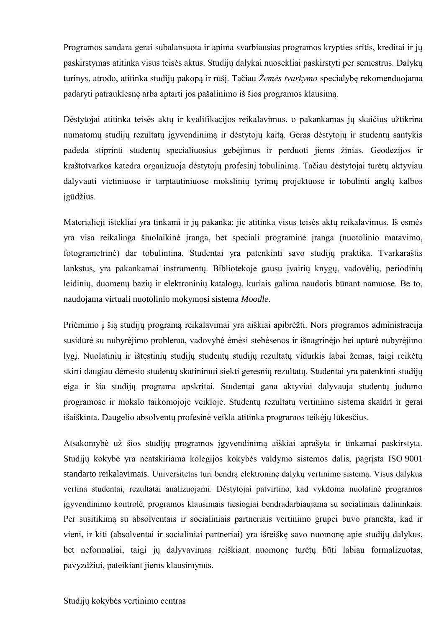Programos sandara gerai subalansuota ir apima svarbiausias programos krypties sritis, kreditai ir jų paskirstymas atitinka visus teisės aktus. Studijų dalykai nuosekliai paskirstyti per semestrus. Dalykų turinys, atrodo, atitinka studijų pakopą ir rūšį. Tačiau *Žemės tvarkymo* specialybę rekomenduojama padaryti patrauklesnę arba aptarti jos pašalinimo iš šios programos klausimą.

Dėstytojai atitinka teisės aktų ir kvalifikacijos reikalavimus, o pakankamas jų skaičius užtikrina numatomų studijų rezultatų įgyvendinimą ir dėstytojų kaitą. Geras dėstytojų ir studentų santykis padeda stiprinti studentų specialiuosius gebėjimus ir perduoti jiems žinias. Geodezijos ir kraštotvarkos katedra organizuoja dėstytojų profesinį tobulinimą. Tačiau dėstytojai turėtų aktyviau dalyvauti vietiniuose ir tarptautiniuose mokslinių tyrimų projektuose ir tobulinti anglų kalbos įgūdžius.

Materialieji ištekliai yra tinkami ir jų pakanka; jie atitinka visus teisės aktų reikalavimus. Iš esmės yra visa reikalinga šiuolaikinė įranga, bet speciali programinė įranga (nuotolinio matavimo, fotogrametrinė) dar tobulintina. Studentai yra patenkinti savo studijų praktika. Tvarkaraštis lankstus, yra pakankamai instrumentų. Bibliotekoje gausu įvairių knygų, vadovėlių, periodinių leidinių, duomenų bazių ir elektroninių katalogų, kuriais galima naudotis būnant namuose. Be to, naudojama virtuali nuotolinio mokymosi sistema *Moodle*.

Priėmimo į šią studijų programą reikalavimai yra aiškiai apibrėžti. Nors programos administracija susidūrė su nubyrėjimo problema, vadovybė ėmėsi stebėsenos ir išnagrinėjo bei aptarė nubyrėjimo lygį. Nuolatinių ir ištęstinių studijų studentų studijų rezultatų vidurkis labai žemas, taigi reikėtų skirti daugiau dėmesio studentų skatinimui siekti geresnių rezultatų. Studentai yra patenkinti studijų eiga ir šia studijų programa apskritai. Studentai gana aktyviai dalyvauja studentų judumo programose ir mokslo taikomojoje veikloje. Studentų rezultatų vertinimo sistema skaidri ir gerai išaiškinta. Daugelio absolventų profesinė veikla atitinka programos teikėjų lūkesčius.

Atsakomybė už šios studijų programos įgyvendinimą aiškiai aprašyta ir tinkamai paskirstyta. Studijų kokybė yra neatskiriama kolegijos kokybės valdymo sistemos dalis, pagrįsta ISO 9001 standarto reikalavimais. Universitetas turi bendrą elektroninę dalykų vertinimo sistemą. Visus dalykus vertina studentai, rezultatai analizuojami. Dėstytojai patvirtino, kad vykdoma nuolatinė programos įgyvendinimo kontrolė, programos klausimais tiesiogiai bendradarbiaujama su socialiniais dalininkais. Per susitikimą su absolventais ir socialiniais partneriais vertinimo grupei buvo pranešta, kad ir vieni, ir kiti (absolventai ir socialiniai partneriai) yra išreiškę savo nuomonę apie studijų dalykus, bet neformaliai, taigi jų dalyvavimas reiškiant nuomonę turėtų būti labiau formalizuotas, pavyzdžiui, pateikiant jiems klausimynus.